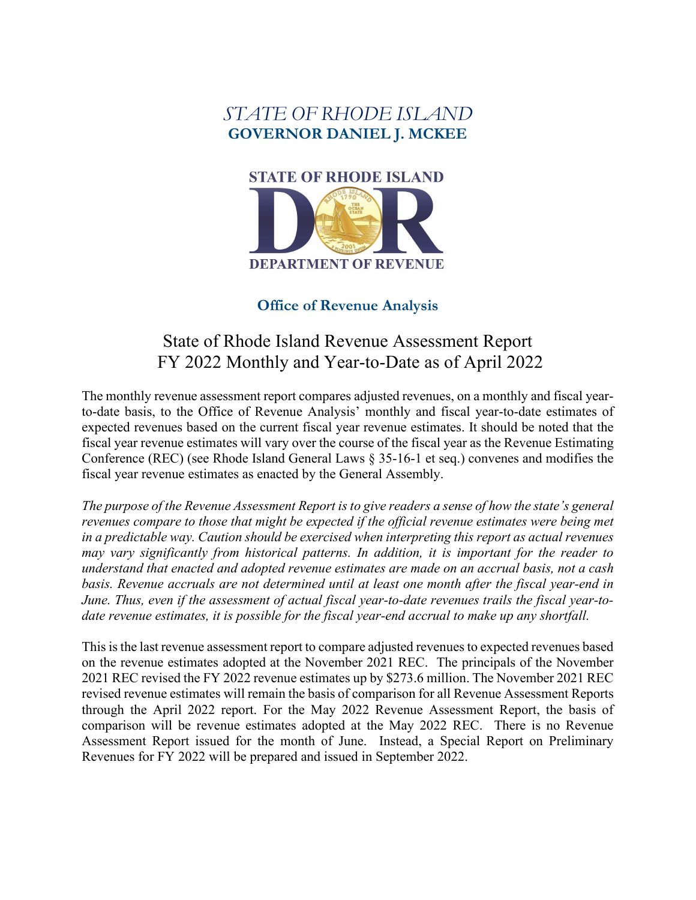## *STATE OF RHODE ISLAND* **GOVERNOR DANIEL J. MCKEE**



## **Office of Revenue Analysis**

# State of Rhode Island Revenue Assessment Report FY 2022 Monthly and Year-to-Date as of April 2022

The monthly revenue assessment report compares adjusted revenues, on a monthly and fiscal yearto-date basis, to the Office of Revenue Analysis' monthly and fiscal year-to-date estimates of expected revenues based on the current fiscal year revenue estimates. It should be noted that the fiscal year revenue estimates will vary over the course of the fiscal year as the Revenue Estimating Conference (REC) (see Rhode Island General Laws § 35-16-1 et seq.) convenes and modifies the fiscal year revenue estimates as enacted by the General Assembly.

*The purpose of the Revenue Assessment Report is to give readers a sense of how the state's general revenues compare to those that might be expected if the official revenue estimates were being met in a predictable way. Caution should be exercised when interpreting this report as actual revenues may vary significantly from historical patterns. In addition, it is important for the reader to understand that enacted and adopted revenue estimates are made on an accrual basis, not a cash basis. Revenue accruals are not determined until at least one month after the fiscal year-end in*  June. Thus, even if the assessment of actual fiscal year-to-date revenues trails the fiscal year-to*date revenue estimates, it is possible for the fiscal year-end accrual to make up any shortfall.*

This is the last revenue assessment report to compare adjusted revenues to expected revenues based on the revenue estimates adopted at the November 2021 REC. The principals of the November 2021 REC revised the FY 2022 revenue estimates up by \$273.6 million. The November 2021 REC revised revenue estimates will remain the basis of comparison for all Revenue Assessment Reports through the April 2022 report. For the May 2022 Revenue Assessment Report, the basis of comparison will be revenue estimates adopted at the May 2022 REC. There is no Revenue Assessment Report issued for the month of June. Instead, a Special Report on Preliminary Revenues for FY 2022 will be prepared and issued in September 2022.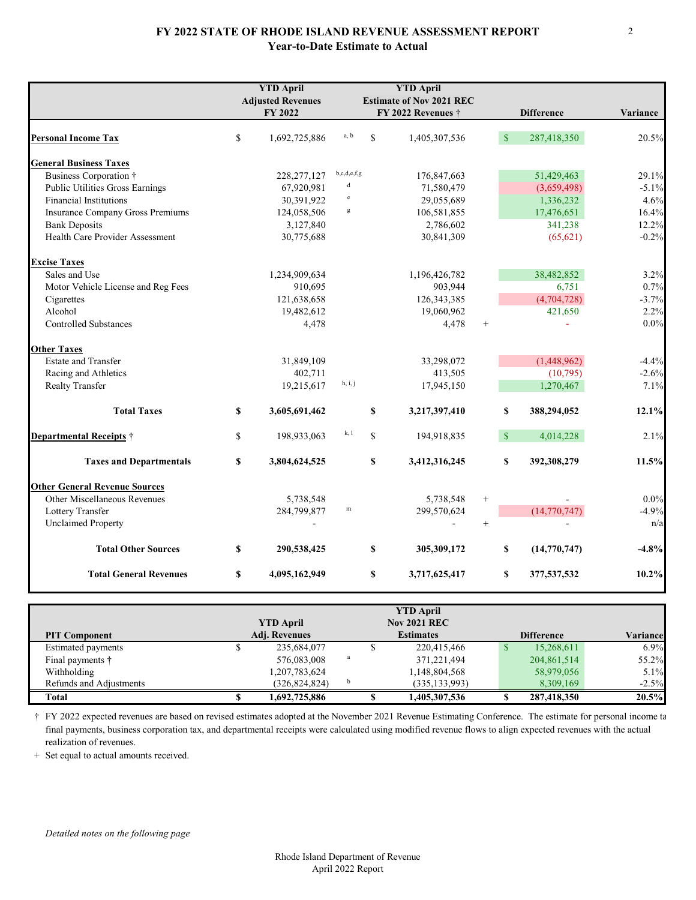#### **FY 2022 STATE OF RHODE ISLAND REVENUE ASSESSMENT REPORT Year-to-Date Estimate to Actual**

|                                        |               | <b>YTD April</b><br><b>Adjusted Revenues</b><br>FY 2022 |              |             | <b>YTD April</b><br><b>Estimate of Nov 2021 REC</b><br>FY 2022 Revenues $\dagger$ |        |               | <b>Difference</b> | Variance |
|----------------------------------------|---------------|---------------------------------------------------------|--------------|-------------|-----------------------------------------------------------------------------------|--------|---------------|-------------------|----------|
|                                        |               |                                                         |              |             |                                                                                   |        |               |                   |          |
| <b>Personal Income Tax</b>             | $\mathbf S$   | 1,692,725,886                                           | a, b         | $\mathbf S$ | 1,405,307,536                                                                     |        | $\sqrt{s}$    | 287,418,350       | 20.5%    |
| <b>General Business Taxes</b>          |               |                                                         |              |             |                                                                                   |        |               |                   |          |
| Business Corporation †                 |               | 228, 277, 127                                           | b,c,d,e,f,g  |             | 176,847,663                                                                       |        |               | 51,429,463        | 29.1%    |
| <b>Public Utilities Gross Earnings</b> |               | 67,920,981                                              | $\rm d$      |             | 71,580,479                                                                        |        |               | (3,659,498)       | $-5.1%$  |
| <b>Financial Institutions</b>          |               | 30,391,922                                              | $\rm e$      |             | 29,055,689                                                                        |        |               | 1,336,232         | 4.6%     |
| Insurance Company Gross Premiums       |               | 124,058,506                                             | $\mathbf g$  |             | 106,581,855                                                                       |        |               | 17,476,651        | 16.4%    |
| <b>Bank Deposits</b>                   |               | 3,127,840                                               |              |             | 2,786,602                                                                         |        |               | 341,238           | 12.2%    |
| Health Care Provider Assessment        |               | 30,775,688                                              |              |             | 30,841,309                                                                        |        |               | (65, 621)         | $-0.2%$  |
| <b>Excise Taxes</b>                    |               |                                                         |              |             |                                                                                   |        |               |                   |          |
| Sales and Use                          |               | 1,234,909,634                                           |              |             | 1,196,426,782                                                                     |        |               | 38,482,852        | 3.2%     |
| Motor Vehicle License and Reg Fees     |               | 910,695                                                 |              |             | 903,944                                                                           |        |               | 6,751             | 0.7%     |
| Cigarettes                             |               | 121,638,658                                             |              |             | 126, 343, 385                                                                     |        |               | (4,704,728)       | $-3.7%$  |
| Alcohol                                |               | 19,482,612                                              |              |             | 19,060,962                                                                        |        |               | 421,650           | 2.2%     |
| <b>Controlled Substances</b>           |               | 4,478                                                   |              |             | 4,478                                                                             | $+$    |               |                   | 0.0%     |
| <b>Other Taxes</b>                     |               |                                                         |              |             |                                                                                   |        |               |                   |          |
| <b>Estate and Transfer</b>             |               | 31,849,109                                              |              |             | 33,298,072                                                                        |        |               | (1,448,962)       | $-4.4%$  |
| Racing and Athletics                   |               | 402,711                                                 |              |             | 413,505                                                                           |        |               | (10,795)          | $-2.6%$  |
| Realty Transfer                        |               | 19,215,617                                              | h, i, j      |             | 17,945,150                                                                        |        |               | 1,270,467         | 7.1%     |
| <b>Total Taxes</b>                     | \$            | 3,605,691,462                                           |              | $\mathbf S$ | 3,217,397,410                                                                     |        | \$            | 388,294,052       | 12.1%    |
| <b>Departmental Receipts</b> $\dagger$ | $\mathbf S$   | 198,933,063                                             | k, 1         | $\mathbf S$ | 194,918,835                                                                       |        | $\mathsf{\$}$ | 4,014,228         | 2.1%     |
| <b>Taxes and Departmentals</b>         | <sup>\$</sup> | 3,804,624,525                                           |              | \$          | 3,412,316,245                                                                     |        | \$            | 392,308,279       | 11.5%    |
| <b>Other General Revenue Sources</b>   |               |                                                         |              |             |                                                                                   |        |               |                   |          |
| Other Miscellaneous Revenues           |               | 5,738,548                                               |              |             | 5,738,548                                                                         | $^{+}$ |               |                   | 0.0%     |
| Lottery Transfer                       |               | 284,799,877                                             | $\, {\rm m}$ |             | 299,570,624                                                                       |        |               | (14, 770, 747)    | $-4.9%$  |
| <b>Unclaimed Property</b>              |               |                                                         |              |             |                                                                                   | $^{+}$ |               |                   | n/a      |
| <b>Total Other Sources</b>             | \$            | 290,538,425                                             |              | S           | 305,309,172                                                                       |        | \$            | (14, 770, 747)    | $-4.8%$  |
| <b>Total General Revenues</b>          | \$            | 4,095,162,949                                           |              | \$          | 3,717,625,417                                                                     |        | \$            | 377,537,532       | $10.2\%$ |

|                         |                      |              | <b>YTD April</b>    |   |                   |          |
|-------------------------|----------------------|--------------|---------------------|---|-------------------|----------|
|                         | <b>YTD April</b>     |              | <b>Nov 2021 REC</b> |   |                   |          |
| <b>PIT Component</b>    | <b>Adj. Revenues</b> |              | <b>Estimates</b>    |   | <b>Difference</b> | Variance |
| Estimated payments      | 235,684,077          |              | 220,415,466         | ъ | 15,268,611        | 6.9%     |
| Final payments †        | 576,083,008          | $\mathbf{a}$ | 371,221,494         |   | 204,861,514       | 55.2%    |
| Withholding             | 1,207,783,624        |              | 1,148,804,568       |   | 58,979,056        | 5.1%     |
| Refunds and Adjustments | (326, 824, 824)      | b            | (335, 133, 993)     |   | 8,309,169         | $-2.5%$  |
| <b>Total</b>            | 1,692,725,886        |              | 1,405,307,536       |   | 287,418,350       | 20.5%    |

† FY 2022 expected revenues are based on revised estimates adopted at the November 2021 Revenue Estimating Conference. The estimate for personal income ta final payments, business corporation tax, and departmental receipts were calculated using modified revenue flows to align expected revenues with the actual realization of revenues.

+ Set equal to actual amounts received.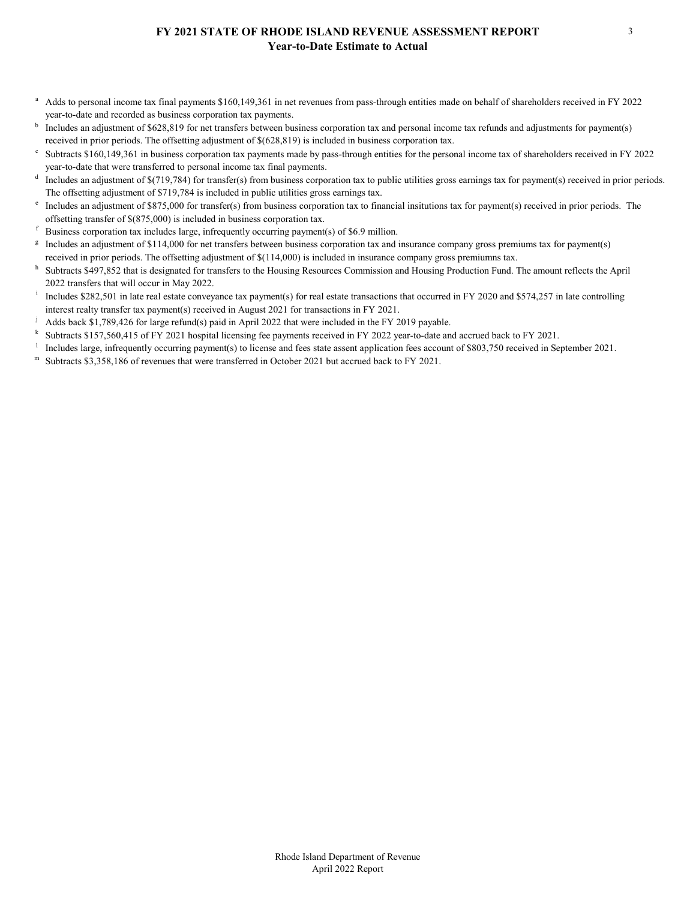#### **FY 2021 STATE OF RHODE ISLAND REVENUE ASSESSMENT REPORT Year-to-Date Estimate to Actual**

- <sup>a</sup> Adds to personal income tax final payments \$160,149,361 in net revenues from pass-through entities made on behalf of shareholders received in FY 2022 year-to-date and recorded as business corporation tax payments.<br><sup>b</sup> Includes an adjustment of \$628,819 for net transfers between business corporation tax and personal income tax refunds and adjustments for payment(s)
- received in prior periods. The offsetting adjustment of \$(628,819) is included in business corporation tax.<br>Subtracts \$160,149,361 in business corporation tax payments made by pass-through entities for the personal income
- year-to-date that were transferred to personal income tax final payments.<br>Includes an adjustment of \$(719,784) for transfer(s) from business corporation tax to public utilities gross earnings tax for payment(s) received in
- The offsetting adjustment of \$719,784 is included in public utilities gross earnings tax.<br><sup>e</sup> Includes an adjustment of \$875,000 for transfer(s) from business corporation tax to financial insitutions tax for payment(s) rec
- 
- 
- offsetting transfer of \$(875,000) is included in business corporation tax.<br>
<sup>f</sup> Business corporation tax includes large, infrequently occurring payment(s) of \$6.9 million.<br>
<sup>g</sup> Includes an adjustment of \$114,000 for net tr received in prior periods. The offsetting adjustment of \$(114,000) is included in insurance company gross premiumns tax.
- h Subtracts \$497,852 that is designated for transfers to the Housing Resources Commission and Housing Production Fund. The amount reflects the April 2022 transfers that will occur in May 2022.
- Includes \$282,501 in late real estate conveyance tax payment(s) for real estate transactions that occurred in FY 2020 and \$574,257 in late controlling interest realty transfer tax payment(s) received in August 2021 for transactions in FY 2021.
- 
- <sup>j</sup> Adds back \$1,789,426 for large refund(s) paid in April 2022 that were included in the FY 2019 payable.<br><sup>k</sup> Subtracts \$157,560,415 of FY 2021 hospital licensing fee payments received in FY 2022 year-to-date and accrued
- <sup>1</sup> Includes large, infrequently occurring payment(s) to license and fees state assent application fees account of \$803,750 received in September 2021.
- Subtracts \$3,358,186 of revenues that were transferred in October 2021 but accrued back to FY 2021.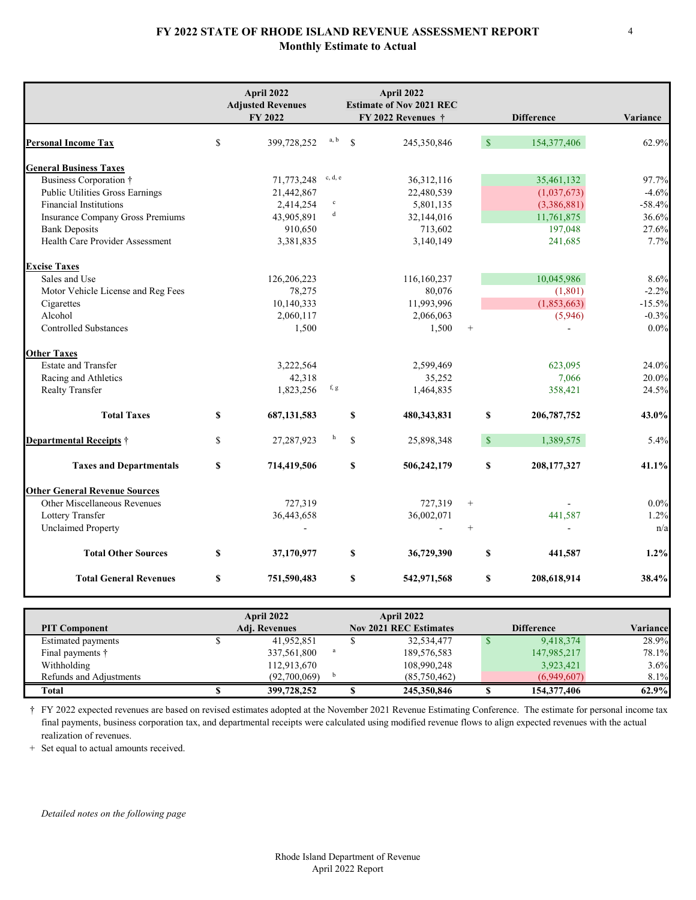#### **FY 2022 STATE OF RHODE ISLAND REVENUE ASSESSMENT REPORT Monthly Estimate to Actual**

|                                        | April 2022<br><b>Adjusted Revenues</b> |             |              | April 2022<br><b>Estimate of Nov 2021 REC</b> |              |                   |          |
|----------------------------------------|----------------------------------------|-------------|--------------|-----------------------------------------------|--------------|-------------------|----------|
|                                        | FY 2022                                |             |              | FY 2022 Revenues †                            |              | <b>Difference</b> | Variance |
| <b>Personal Income Tax</b>             | \$<br>399,728,252                      | a, b        | $\mathbf{s}$ | 245,350,846                                   | $\mathbf{s}$ | 154,377,406       | 62.9%    |
| <b>General Business Taxes</b>          |                                        |             |              |                                               |              |                   |          |
| Business Corporation †                 | 71,773,248                             | c, d, e     |              | 36, 312, 116                                  |              | 35,461,132        | 97.7%    |
| <b>Public Utilities Gross Earnings</b> | 21,442,867                             |             |              | 22,480,539                                    |              | (1,037,673)       | $-4.6%$  |
| <b>Financial Institutions</b>          | 2,414,254                              | $\mathbf c$ |              | 5,801,135                                     |              | (3,386,881)       | $-58.4%$ |
| Insurance Company Gross Premiums       | 43,905,891                             | $\mathbf d$ |              | 32,144,016                                    |              | 11,761,875        | 36.6%    |
| <b>Bank Deposits</b>                   | 910,650                                |             |              | 713,602                                       |              | 197,048           | 27.6%    |
| Health Care Provider Assessment        | 3,381,835                              |             |              | 3,140,149                                     |              | 241,685           | 7.7%     |
| <b>Excise Taxes</b>                    |                                        |             |              |                                               |              |                   |          |
| Sales and Use                          | 126,206,223                            |             |              | 116,160,237                                   |              | 10,045,986        | 8.6%     |
| Motor Vehicle License and Reg Fees     | 78,275                                 |             |              | 80,076                                        |              | (1,801)           | $-2.2%$  |
| Cigarettes                             | 10,140,333                             |             |              | 11,993,996                                    |              | (1,853,663)       | $-15.5%$ |
| Alcohol                                | 2,060,117                              |             |              | 2,066,063                                     |              | (5,946)           | $-0.3%$  |
| <b>Controlled Substances</b>           | 1,500                                  |             |              | 1,500                                         | $^{+}$       |                   | $0.0\%$  |
| <b>Other Taxes</b>                     |                                        |             |              |                                               |              |                   |          |
| <b>Estate and Transfer</b>             | 3,222,564                              |             |              | 2,599,469                                     |              | 623,095           | 24.0%    |
| Racing and Athletics                   | 42,318                                 |             |              | 35,252                                        |              | 7,066             | 20.0%    |
| Realty Transfer                        | 1,823,256                              | f, g        |              | 1,464,835                                     |              | 358,421           | 24.5%    |
| <b>Total Taxes</b>                     | \$<br>687, 131, 583                    |             | \$           | 480, 343, 831                                 | \$           | 206, 787, 752     | 43.0%    |
| <b>Departmental Receipts</b> $\dagger$ | \$<br>27,287,923                       | h           | $\mathbf S$  | 25,898,348                                    | $\sqrt{s}$   | 1,389,575         | 5.4%     |
| <b>Taxes and Departmentals</b>         | \$<br>714,419,506                      |             | \$           | 506,242,179                                   | \$           | 208,177,327       | 41.1%    |
| <b>Other General Revenue Sources</b>   |                                        |             |              |                                               |              |                   |          |
| Other Miscellaneous Revenues           | 727,319                                |             |              | 727,319                                       | $^{+}$       |                   | $0.0\%$  |
| Lottery Transfer                       | 36,443,658                             |             |              | 36,002,071                                    |              | 441,587           | 1.2%     |
| <b>Unclaimed Property</b>              |                                        |             |              | $\mathbf{r}$                                  | $^{+}$       |                   | n/a      |
| <b>Total Other Sources</b>             | \$<br>37,170,977                       |             | \$           | 36,729,390                                    | \$           | 441,587           | 1.2%     |
| <b>Total General Revenues</b>          | \$<br>751,590,483                      |             | \$           | 542,971,568                                   | \$           | 208,618,914       | 38.4%    |

|                          | April 2022    |    | April 2022                    |                   |          |
|--------------------------|---------------|----|-------------------------------|-------------------|----------|
| <b>PIT Component</b>     | Adj. Revenues |    | <b>Nov 2021 REC Estimates</b> | <b>Difference</b> | Variance |
| Estimated payments       | 41,952,851    |    | 32,534,477                    | 9,418,374         | 28.9%    |
| Final payments $\dagger$ | 337,561,800   |    | 189,576,583                   | 147,985,217       | 78.1%    |
| Withholding              | 112,913,670   |    | 108,990,248                   | 3,923,421         | 3.6%     |
| Refunds and Adjustments  | (92,700,069)  | h. | (85,750,462)                  | (6,949,607)       | 8.1%     |
| Total                    | 399,728,252   |    | 245,350,846                   | 154,377,406       | 62.9%    |

† FY 2022 expected revenues are based on revised estimates adopted at the November 2021 Revenue Estimating Conference. The estimate for personal income tax final payments, business corporation tax, and departmental receipts were calculated using modified revenue flows to align expected revenues with the actual realization of revenues.

+ Set equal to actual amounts received.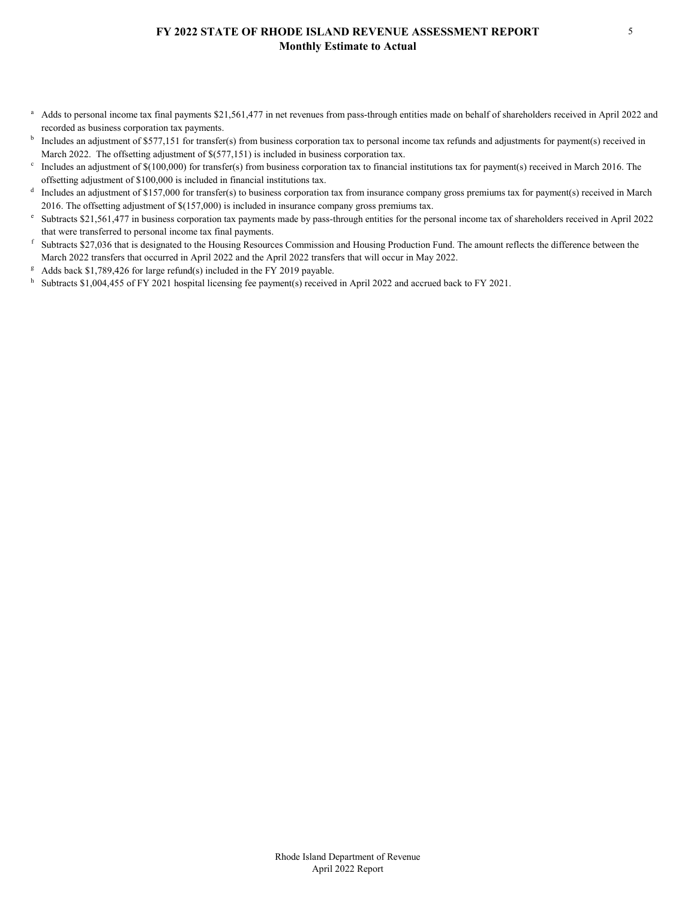#### **FY 2022 STATE OF RHODE ISLAND REVENUE ASSESSMENT REPORT Monthly Estimate to Actual**

- <sup>a</sup> Adds to personal income tax final payments \$21,561,477 in net revenues from pass-through entities made on behalf of shareholders received in April 2022 and recorded as business corporation tax payments.
- Includes an adjustment of \$577,151 for transfer(s) from business corporation tax to personal income tax refunds and adjustments for payment(s) received in
- March 2022. The offsetting adjustment of \$(577,151) is included in business corporation tax.<br><sup>c</sup> Includes an adjustment of \$(100,000) for transfer(s) from business corporation tax to financial institutions tax for payment(
- offsetting adjustment of \$100,000 is included in financial institutions tax.<br><sup>d</sup> Includes an adjustment of \$157,000 for transfer(s) to business corporation tax from insurance company gross premiums tax for payment(s) recei 2016. The offsetting adjustment of \$(157,000) is included in insurance company gross premiums tax.<br><sup>e</sup> Subtracts \$21,561,477 in business corporation tax payments made by pass-through entities for the personal income tax of
- 
- that were transferred to personal income tax final payments.<br><sup>f</sup> Subtracts \$27,036 that is designated to the Housing Resources Commission and Housing Production Fund. The amount reflects the difference between the March 2022 transfers that occurred in April 2022 and the April 2022 transfers that will occur in May 2022.
- 
- <sup>g</sup> Adds back \$1,789,426 for large refund(s) included in the FY 2019 payable.<br><sup>h</sup> Subtracts \$1,004,455 of FY 2021 hospital licensing fee payment(s) received in April 2022 and accrued back to FY 2021.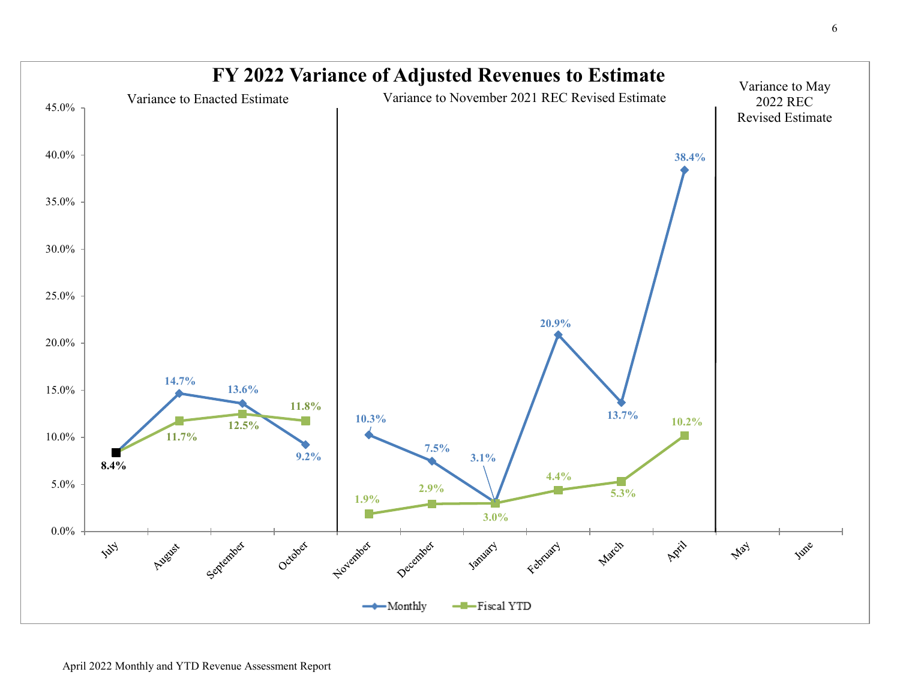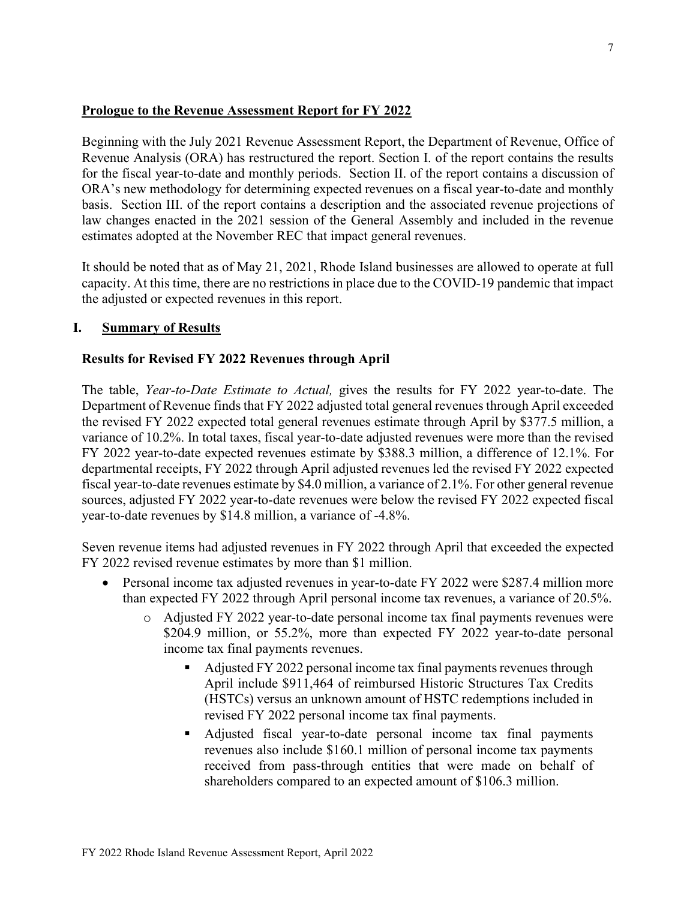## **Prologue to the Revenue Assessment Report for FY 2022**

Beginning with the July 2021 Revenue Assessment Report, the Department of Revenue, Office of Revenue Analysis (ORA) has restructured the report. Section I. of the report contains the results for the fiscal year-to-date and monthly periods. Section II. of the report contains a discussion of ORA's new methodology for determining expected revenues on a fiscal year-to-date and monthly basis. Section III. of the report contains a description and the associated revenue projections of law changes enacted in the 2021 session of the General Assembly and included in the revenue estimates adopted at the November REC that impact general revenues.

It should be noted that as of May 21, 2021, Rhode Island businesses are allowed to operate at full capacity. At this time, there are no restrictions in place due to the COVID-19 pandemic that impact the adjusted or expected revenues in this report.

## **I. Summary of Results**

## **Results for Revised FY 2022 Revenues through April**

The table, *Year-to-Date Estimate to Actual,* gives the results for FY 2022 year-to-date. The Department of Revenue finds that FY 2022 adjusted total general revenues through April exceeded the revised FY 2022 expected total general revenues estimate through April by \$377.5 million, a variance of 10.2%. In total taxes, fiscal year-to-date adjusted revenues were more than the revised FY 2022 year-to-date expected revenues estimate by \$388.3 million, a difference of 12.1%. For departmental receipts, FY 2022 through April adjusted revenues led the revised FY 2022 expected fiscal year-to-date revenues estimate by \$4.0 million, a variance of 2.1%. For other general revenue sources, adjusted FY 2022 year-to-date revenues were below the revised FY 2022 expected fiscal year-to-date revenues by \$14.8 million, a variance of -4.8%.

Seven revenue items had adjusted revenues in FY 2022 through April that exceeded the expected FY 2022 revised revenue estimates by more than \$1 million.

- Personal income tax adjusted revenues in year-to-date FY 2022 were \$287.4 million more than expected FY 2022 through April personal income tax revenues, a variance of 20.5%.
	- o Adjusted FY 2022 year-to-date personal income tax final payments revenues were \$204.9 million, or 55.2%, more than expected FY 2022 year-to-date personal income tax final payments revenues.
		- Adjusted FY 2022 personal income tax final payments revenues through April include \$911,464 of reimbursed Historic Structures Tax Credits (HSTCs) versus an unknown amount of HSTC redemptions included in revised FY 2022 personal income tax final payments.
		- Adjusted fiscal year-to-date personal income tax final payments revenues also include \$160.1 million of personal income tax payments received from pass-through entities that were made on behalf of shareholders compared to an expected amount of \$106.3 million.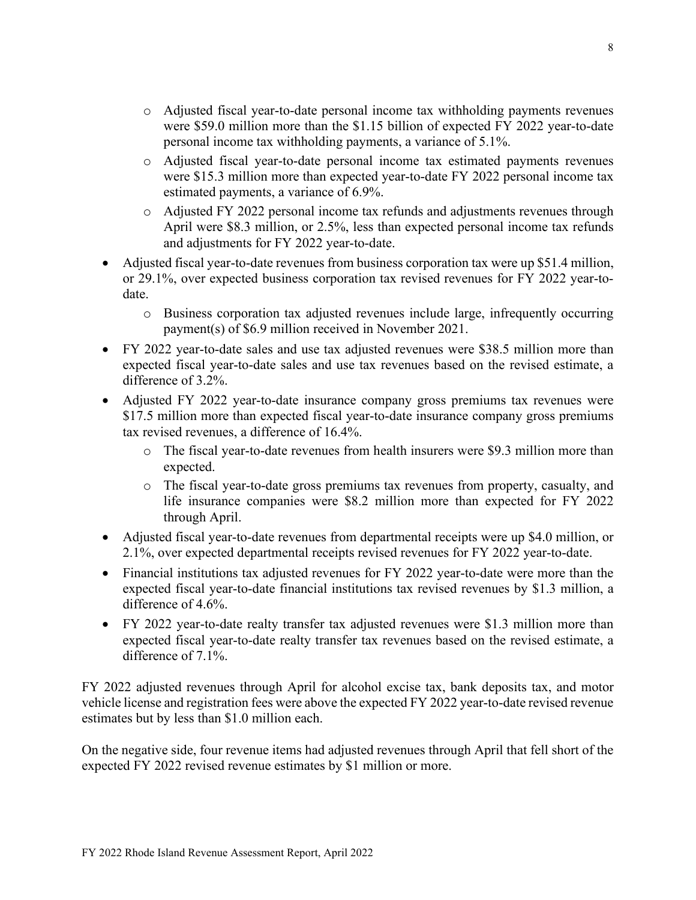- o Adjusted fiscal year-to-date personal income tax withholding payments revenues were \$59.0 million more than the \$1.15 billion of expected FY 2022 year-to-date personal income tax withholding payments, a variance of 5.1%.
- o Adjusted fiscal year-to-date personal income tax estimated payments revenues were \$15.3 million more than expected year-to-date FY 2022 personal income tax estimated payments, a variance of 6.9%.
- o Adjusted FY 2022 personal income tax refunds and adjustments revenues through April were \$8.3 million, or 2.5%, less than expected personal income tax refunds and adjustments for FY 2022 year-to-date.
- Adjusted fiscal year-to-date revenues from business corporation tax were up \$51.4 million, or 29.1%, over expected business corporation tax revised revenues for FY 2022 year-todate.
	- o Business corporation tax adjusted revenues include large, infrequently occurring payment(s) of \$6.9 million received in November 2021.
- FY 2022 year-to-date sales and use tax adjusted revenues were \$38.5 million more than expected fiscal year-to-date sales and use tax revenues based on the revised estimate, a difference of 3.2%.
- Adjusted FY 2022 year-to-date insurance company gross premiums tax revenues were \$17.5 million more than expected fiscal year-to-date insurance company gross premiums tax revised revenues, a difference of 16.4%.
	- o The fiscal year-to-date revenues from health insurers were \$9.3 million more than expected.
	- o The fiscal year-to-date gross premiums tax revenues from property, casualty, and life insurance companies were \$8.2 million more than expected for FY 2022 through April.
- Adjusted fiscal year-to-date revenues from departmental receipts were up \$4.0 million, or 2.1%, over expected departmental receipts revised revenues for FY 2022 year-to-date.
- Financial institutions tax adjusted revenues for FY 2022 year-to-date were more than the expected fiscal year-to-date financial institutions tax revised revenues by \$1.3 million, a difference of 4.6%.
- FY 2022 year-to-date realty transfer tax adjusted revenues were \$1.3 million more than expected fiscal year-to-date realty transfer tax revenues based on the revised estimate, a difference of 7.1%.

FY 2022 adjusted revenues through April for alcohol excise tax, bank deposits tax, and motor vehicle license and registration fees were above the expected FY 2022 year-to-date revised revenue estimates but by less than \$1.0 million each.

On the negative side, four revenue items had adjusted revenues through April that fell short of the expected FY 2022 revised revenue estimates by \$1 million or more.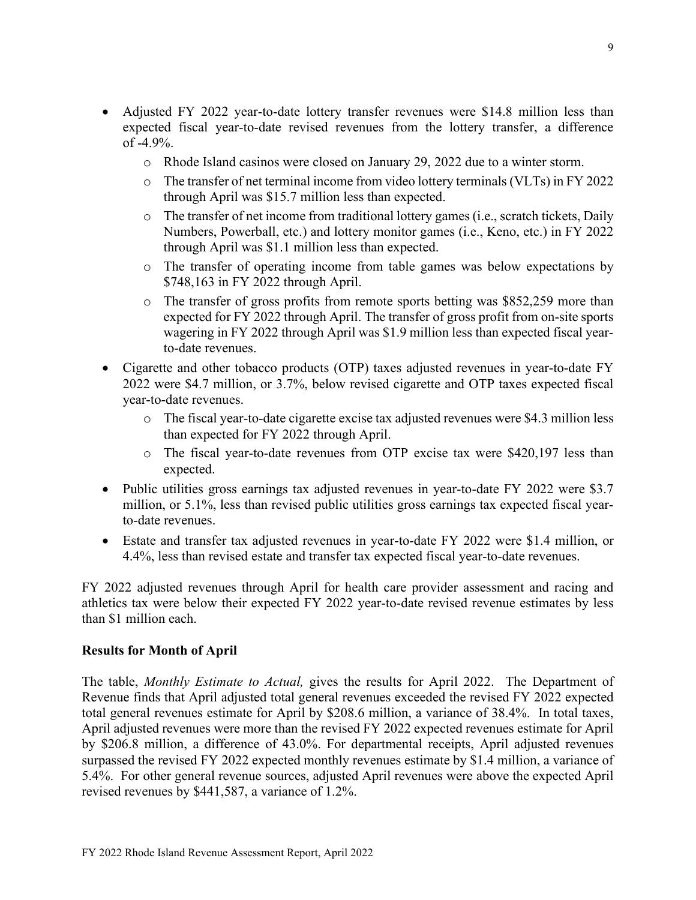- Adjusted FY 2022 year-to-date lottery transfer revenues were \$14.8 million less than expected fiscal year-to-date revised revenues from the lottery transfer, a difference of -4.9%.
	- o Rhode Island casinos were closed on January 29, 2022 due to a winter storm.
	- o The transfer of net terminal income from video lottery terminals (VLTs) in FY 2022 through April was \$15.7 million less than expected.
	- $\circ$  The transfer of net income from traditional lottery games (i.e., scratch tickets, Daily Numbers, Powerball, etc.) and lottery monitor games (i.e., Keno, etc.) in FY 2022 through April was \$1.1 million less than expected.
	- o The transfer of operating income from table games was below expectations by \$748,163 in FY 2022 through April.
	- $\circ$  The transfer of gross profits from remote sports betting was \$852,259 more than expected for FY 2022 through April. The transfer of gross profit from on-site sports wagering in FY 2022 through April was \$1.9 million less than expected fiscal yearto-date revenues.
- Cigarette and other tobacco products (OTP) taxes adjusted revenues in year-to-date FY 2022 were \$4.7 million, or 3.7%, below revised cigarette and OTP taxes expected fiscal year-to-date revenues.
	- o The fiscal year-to-date cigarette excise tax adjusted revenues were \$4.3 million less than expected for FY 2022 through April.
	- o The fiscal year-to-date revenues from OTP excise tax were \$420,197 less than expected.
- Public utilities gross earnings tax adjusted revenues in year-to-date FY 2022 were \$3.7 million, or 5.1%, less than revised public utilities gross earnings tax expected fiscal yearto-date revenues.
- Estate and transfer tax adjusted revenues in year-to-date FY 2022 were \$1.4 million, or 4.4%, less than revised estate and transfer tax expected fiscal year-to-date revenues.

FY 2022 adjusted revenues through April for health care provider assessment and racing and athletics tax were below their expected FY 2022 year-to-date revised revenue estimates by less than \$1 million each.

## **Results for Month of April**

The table, *Monthly Estimate to Actual,* gives the results for April 2022. The Department of Revenue finds that April adjusted total general revenues exceeded the revised FY 2022 expected total general revenues estimate for April by \$208.6 million, a variance of 38.4%. In total taxes, April adjusted revenues were more than the revised FY 2022 expected revenues estimate for April by \$206.8 million, a difference of 43.0%. For departmental receipts, April adjusted revenues surpassed the revised FY 2022 expected monthly revenues estimate by \$1.4 million, a variance of 5.4%. For other general revenue sources, adjusted April revenues were above the expected April revised revenues by \$441,587, a variance of 1.2%.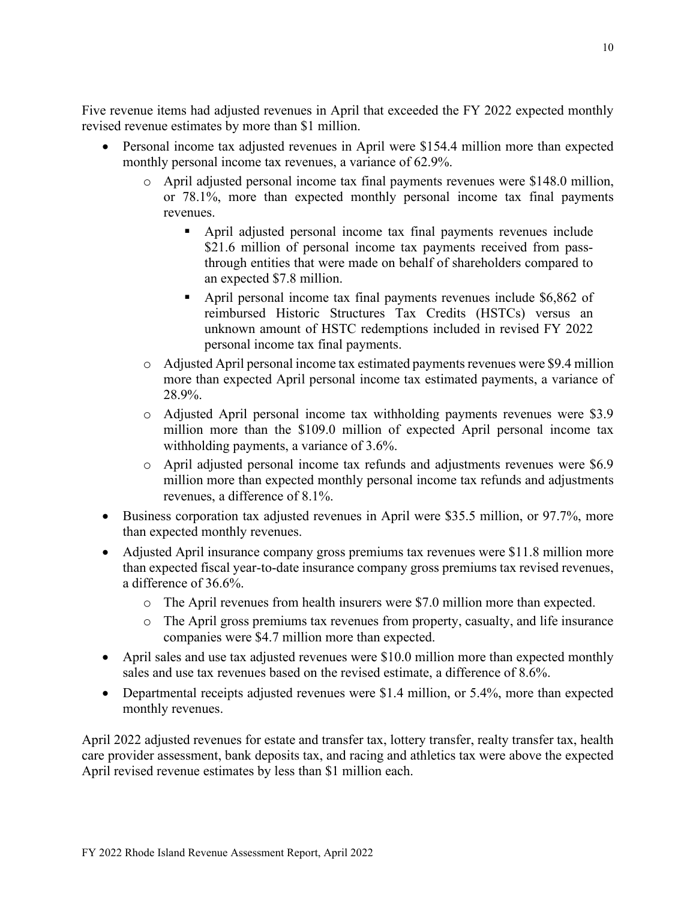Five revenue items had adjusted revenues in April that exceeded the FY 2022 expected monthly revised revenue estimates by more than \$1 million.

- Personal income tax adjusted revenues in April were \$154.4 million more than expected monthly personal income tax revenues, a variance of 62.9%.
	- o April adjusted personal income tax final payments revenues were \$148.0 million, or 78.1%, more than expected monthly personal income tax final payments revenues.
		- April adjusted personal income tax final payments revenues include \$21.6 million of personal income tax payments received from passthrough entities that were made on behalf of shareholders compared to an expected \$7.8 million.
		- April personal income tax final payments revenues include \$6,862 of reimbursed Historic Structures Tax Credits (HSTCs) versus an unknown amount of HSTC redemptions included in revised FY 2022 personal income tax final payments.
	- o Adjusted April personal income tax estimated payments revenues were \$9.4 million more than expected April personal income tax estimated payments, a variance of 28.9%.
	- o Adjusted April personal income tax withholding payments revenues were \$3.9 million more than the \$109.0 million of expected April personal income tax withholding payments, a variance of 3.6%.
	- o April adjusted personal income tax refunds and adjustments revenues were \$6.9 million more than expected monthly personal income tax refunds and adjustments revenues, a difference of 8.1%.
- Business corporation tax adjusted revenues in April were \$35.5 million, or 97.7%, more than expected monthly revenues.
- Adjusted April insurance company gross premiums tax revenues were \$11.8 million more than expected fiscal year-to-date insurance company gross premiums tax revised revenues, a difference of 36.6%.
	- o The April revenues from health insurers were \$7.0 million more than expected.
	- o The April gross premiums tax revenues from property, casualty, and life insurance companies were \$4.7 million more than expected.
- April sales and use tax adjusted revenues were \$10.0 million more than expected monthly sales and use tax revenues based on the revised estimate, a difference of 8.6%.
- Departmental receipts adjusted revenues were \$1.4 million, or 5.4%, more than expected monthly revenues.

April 2022 adjusted revenues for estate and transfer tax, lottery transfer, realty transfer tax, health care provider assessment, bank deposits tax, and racing and athletics tax were above the expected April revised revenue estimates by less than \$1 million each.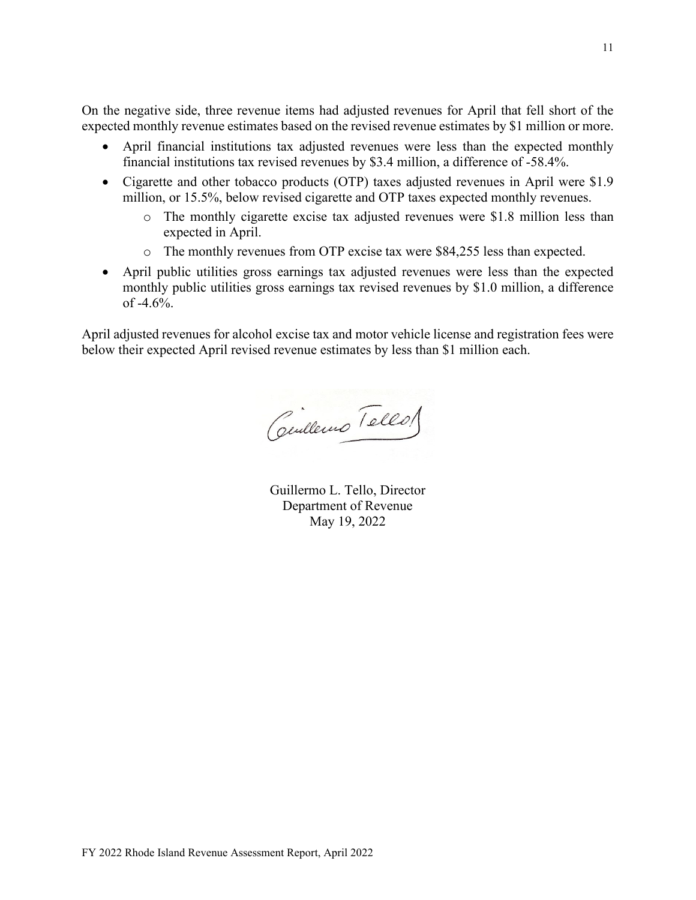On the negative side, three revenue items had adjusted revenues for April that fell short of the expected monthly revenue estimates based on the revised revenue estimates by \$1 million or more.

- April financial institutions tax adjusted revenues were less than the expected monthly financial institutions tax revised revenues by \$3.4 million, a difference of -58.4%.
- Cigarette and other tobacco products (OTP) taxes adjusted revenues in April were \$1.9 million, or 15.5%, below revised cigarette and OTP taxes expected monthly revenues.
	- o The monthly cigarette excise tax adjusted revenues were \$1.8 million less than expected in April.
	- o The monthly revenues from OTP excise tax were \$84,255 less than expected.
- April public utilities gross earnings tax adjusted revenues were less than the expected monthly public utilities gross earnings tax revised revenues by \$1.0 million, a difference of  $-4.6%$ .

April adjusted revenues for alcohol excise tax and motor vehicle license and registration fees were below their expected April revised revenue estimates by less than \$1 million each.

Centlemo Tellos

Guillermo L. Tello, Director Department of Revenue May 19, 2022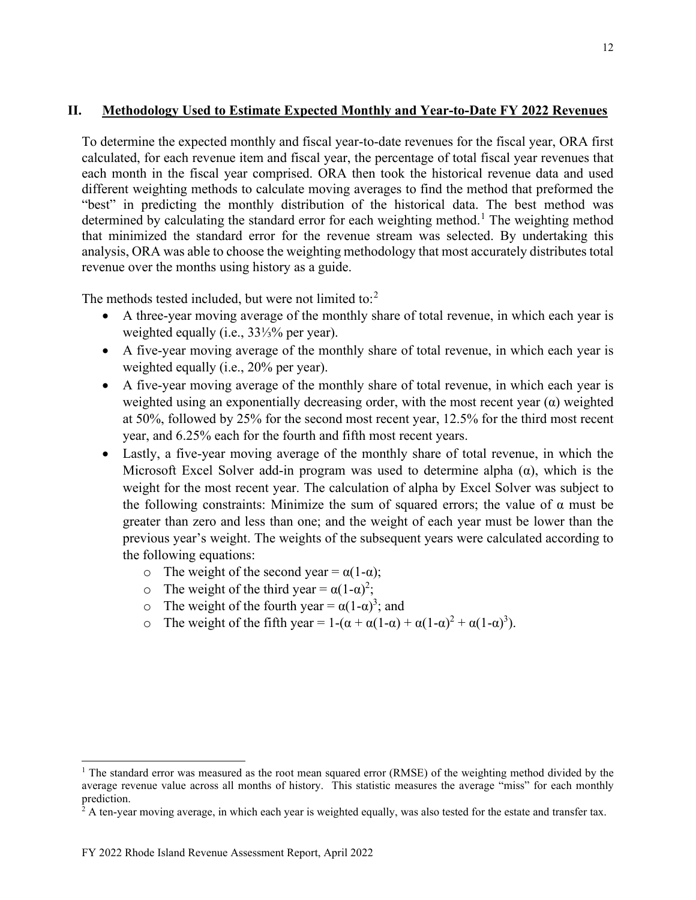## **II. Methodology Used to Estimate Expected Monthly and Year-to-Date FY 2022 Revenues**

To determine the expected monthly and fiscal year-to-date revenues for the fiscal year, ORA first calculated, for each revenue item and fiscal year, the percentage of total fiscal year revenues that each month in the fiscal year comprised. ORA then took the historical revenue data and used different weighting methods to calculate moving averages to find the method that preformed the "best" in predicting the monthly distribution of the historical data. The best method was determined by calculating the standard error for each weighting method.<sup>[1](#page-11-0)</sup> The weighting method that minimized the standard error for the revenue stream was selected. By undertaking this analysis, ORA was able to choose the weighting methodology that most accurately distributes total revenue over the months using history as a guide.

The methods tested included, but were not limited to: $2$ 

- A three-year moving average of the monthly share of total revenue, in which each year is weighted equally (i.e., 33⅓% per year).
- A five-year moving average of the monthly share of total revenue, in which each year is weighted equally (i.e., 20% per year).
- A five-year moving average of the monthly share of total revenue, in which each year is weighted using an exponentially decreasing order, with the most recent year  $(\alpha)$  weighted at 50%, followed by 25% for the second most recent year, 12.5% for the third most recent year, and 6.25% each for the fourth and fifth most recent years.
- Lastly, a five-year moving average of the monthly share of total revenue, in which the Microsoft Excel Solver add-in program was used to determine alpha  $(\alpha)$ , which is the weight for the most recent year. The calculation of alpha by Excel Solver was subject to the following constraints: Minimize the sum of squared errors; the value of  $\alpha$  must be greater than zero and less than one; and the weight of each year must be lower than the previous year's weight. The weights of the subsequent years were calculated according to the following equations:
	- o The weight of the second year =  $\alpha(1-\alpha)$ ;
	- o The weight of the third year =  $\alpha(1-\alpha)^2$ ;
	- $\circ$  The weight of the fourth year =  $\alpha(1-\alpha)^3$ ; and
	- o The weight of the fifth year =  $1-(\alpha + \alpha(1-\alpha)) + \alpha(1-\alpha)^2 + \alpha(1-\alpha)^3$ .

<span id="page-11-0"></span><sup>&</sup>lt;sup>1</sup> The standard error was measured as the root mean squared error (RMSE) of the weighting method divided by the average revenue value across all months of history. This statistic measures the average "miss" for each monthly prediction.

<span id="page-11-1"></span> $2^2$  A ten-year moving average, in which each year is weighted equally, was also tested for the estate and transfer tax.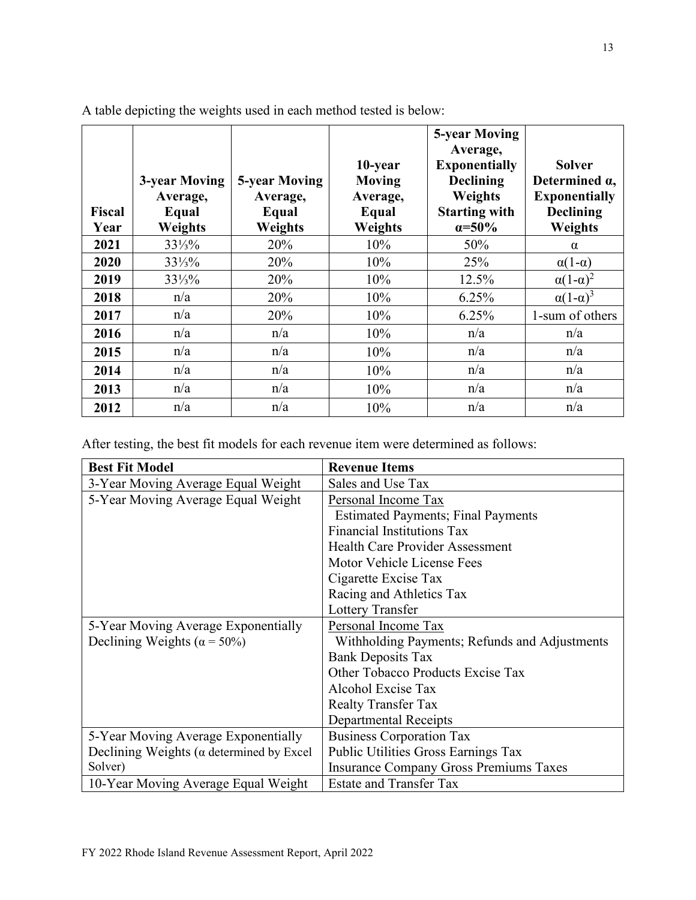| <b>Fiscal</b><br>Year | 3-year Moving<br>Average,<br>Equal<br>Weights | <b>5-year Moving</b><br>Average,<br>Equal<br>Weights | 10-year<br>Moving<br>Average,<br>Equal<br>Weights | <b>5-year Moving</b><br>Average,<br><b>Exponentially</b><br><b>Declining</b><br>Weights<br><b>Starting with</b><br>$\alpha = 50\%$ | <b>Solver</b><br>Determined $\alpha$ ,<br><b>Exponentially</b><br><b>Declining</b><br>Weights |
|-----------------------|-----------------------------------------------|------------------------------------------------------|---------------------------------------------------|------------------------------------------------------------------------------------------------------------------------------------|-----------------------------------------------------------------------------------------------|
| 2021                  | $33\frac{1}{3}\%$                             | 20%                                                  | 10%                                               | 50%                                                                                                                                | $\alpha$                                                                                      |
| 2020                  | $33\frac{1}{3}\%$                             | 20%                                                  | 10%                                               | 25%                                                                                                                                | $\alpha(1-\alpha)$                                                                            |
| 2019                  | $33\frac{1}{3}\%$                             | 20%                                                  | 10%                                               | 12.5%                                                                                                                              | $\alpha(1-\alpha)^2$                                                                          |
| 2018                  | n/a                                           | 20%                                                  | 10%                                               | 6.25%                                                                                                                              | $\alpha(1-\alpha)^3$                                                                          |
| 2017                  | n/a                                           | 20%                                                  | 10%                                               | 6.25%                                                                                                                              | 1-sum of others                                                                               |
| 2016                  | n/a                                           | n/a                                                  | 10%                                               | n/a                                                                                                                                | n/a                                                                                           |
| 2015                  | n/a                                           | n/a                                                  | 10%                                               | n/a                                                                                                                                | n/a                                                                                           |
| 2014                  | n/a                                           | n/a                                                  | 10%                                               | n/a                                                                                                                                | n/a                                                                                           |
| 2013                  | n/a                                           | n/a                                                  | 10%                                               | n/a                                                                                                                                | n/a                                                                                           |
| 2012                  | n/a                                           | n/a                                                  | 10%                                               | n/a                                                                                                                                | n/a                                                                                           |

A table depicting the weights used in each method tested is below:

After testing, the best fit models for each revenue item were determined as follows:

| <b>Best Fit Model</b>                            | <b>Revenue Items</b>                          |
|--------------------------------------------------|-----------------------------------------------|
| 3-Year Moving Average Equal Weight               | Sales and Use Tax                             |
| 5-Year Moving Average Equal Weight               | Personal Income Tax                           |
|                                                  | <b>Estimated Payments</b> ; Final Payments    |
|                                                  | <b>Financial Institutions Tax</b>             |
|                                                  | <b>Health Care Provider Assessment</b>        |
|                                                  | Motor Vehicle License Fees                    |
|                                                  | Cigarette Excise Tax                          |
|                                                  | Racing and Athletics Tax                      |
|                                                  | Lottery Transfer                              |
| 5-Year Moving Average Exponentially              | Personal Income Tax                           |
| Declining Weights ( $\alpha$ = 50%)              | Withholding Payments; Refunds and Adjustments |
|                                                  | <b>Bank Deposits Tax</b>                      |
|                                                  | Other Tobacco Products Excise Tax             |
|                                                  | Alcohol Excise Tax                            |
|                                                  | <b>Realty Transfer Tax</b>                    |
|                                                  | Departmental Receipts                         |
| 5-Year Moving Average Exponentially              | <b>Business Corporation Tax</b>               |
| Declining Weights ( $\alpha$ determined by Excel | Public Utilities Gross Earnings Tax           |
| Solver)                                          | <b>Insurance Company Gross Premiums Taxes</b> |
| 10-Year Moving Average Equal Weight              | <b>Estate and Transfer Tax</b>                |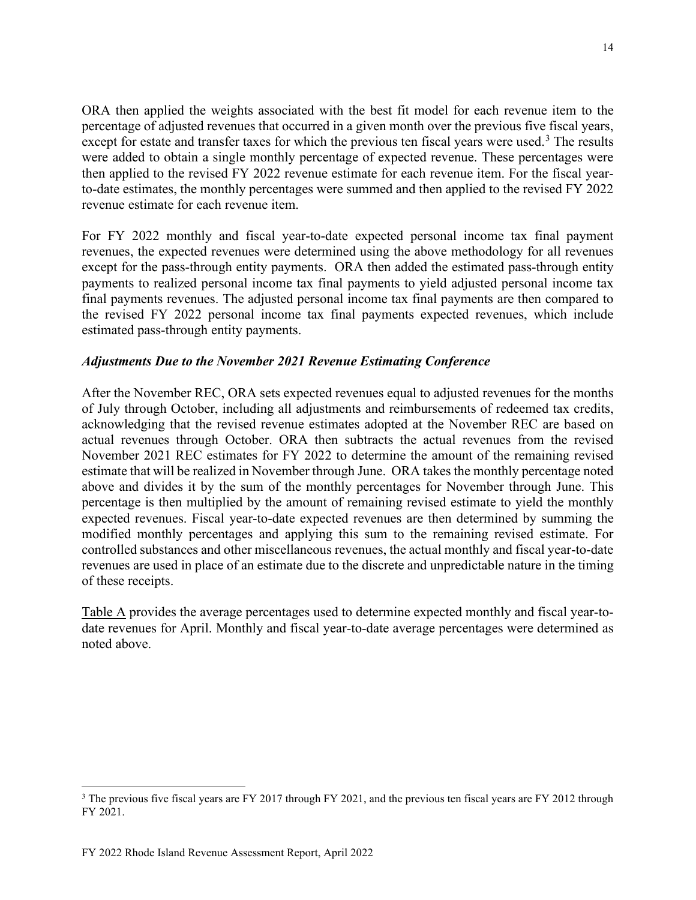ORA then applied the weights associated with the best fit model for each revenue item to the percentage of adjusted revenues that occurred in a given month over the previous five fiscal years, except for estate and transfer taxes for which the previous ten fiscal years were used.<sup>[3](#page-13-0)</sup> The results were added to obtain a single monthly percentage of expected revenue. These percentages were then applied to the revised FY 2022 revenue estimate for each revenue item. For the fiscal yearto-date estimates, the monthly percentages were summed and then applied to the revised FY 2022 revenue estimate for each revenue item.

For FY 2022 monthly and fiscal year-to-date expected personal income tax final payment revenues, the expected revenues were determined using the above methodology for all revenues except for the pass-through entity payments. ORA then added the estimated pass-through entity payments to realized personal income tax final payments to yield adjusted personal income tax final payments revenues. The adjusted personal income tax final payments are then compared to the revised FY 2022 personal income tax final payments expected revenues, which include estimated pass-through entity payments.

## *Adjustments Due to the November 2021 Revenue Estimating Conference*

After the November REC, ORA sets expected revenues equal to adjusted revenues for the months of July through October, including all adjustments and reimbursements of redeemed tax credits, acknowledging that the revised revenue estimates adopted at the November REC are based on actual revenues through October. ORA then subtracts the actual revenues from the revised November 2021 REC estimates for FY 2022 to determine the amount of the remaining revised estimate that will be realized in November through June. ORA takes the monthly percentage noted above and divides it by the sum of the monthly percentages for November through June. This percentage is then multiplied by the amount of remaining revised estimate to yield the monthly expected revenues. Fiscal year-to-date expected revenues are then determined by summing the modified monthly percentages and applying this sum to the remaining revised estimate. For controlled substances and other miscellaneous revenues, the actual monthly and fiscal year-to-date revenues are used in place of an estimate due to the discrete and unpredictable nature in the timing of these receipts.

Table A provides the average percentages used to determine expected monthly and fiscal year-todate revenues for April. Monthly and fiscal year-to-date average percentages were determined as noted above.

<span id="page-13-0"></span><sup>&</sup>lt;sup>3</sup> The previous five fiscal years are FY 2017 through FY 2021, and the previous ten fiscal years are FY 2012 through FY 2021.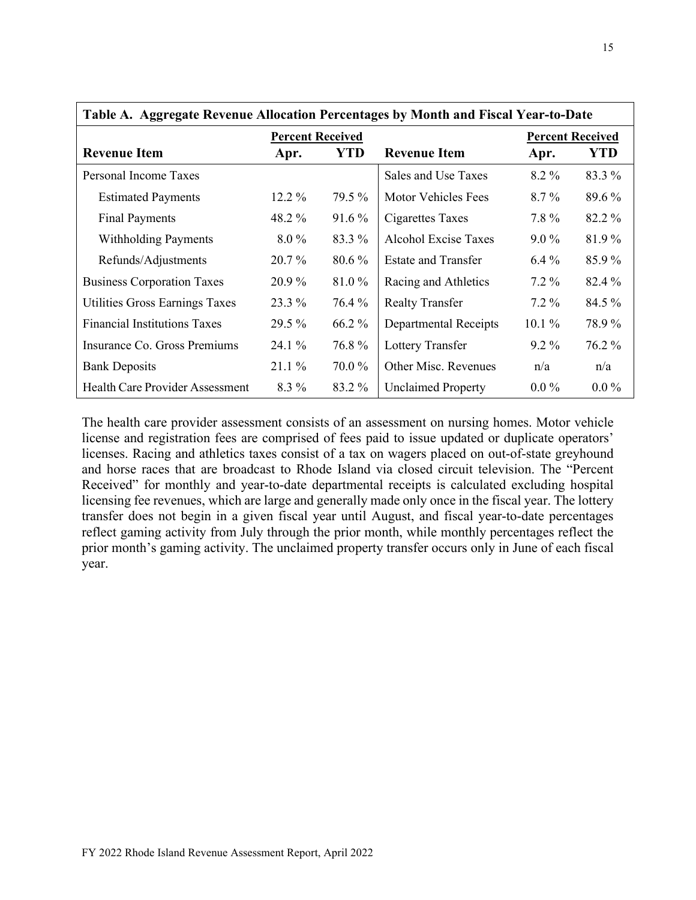| Table A. Aggregate Revenue Allocation Percentages by Month and Fiscal Year-to-Date |                         |          |                            |                         |            |  |  |  |
|------------------------------------------------------------------------------------|-------------------------|----------|----------------------------|-------------------------|------------|--|--|--|
|                                                                                    | <b>Percent Received</b> |          |                            | <b>Percent Received</b> |            |  |  |  |
| <b>Revenue Item</b>                                                                | YTD<br>Apr.             |          | <b>Revenue Item</b>        | Apr.                    | <b>YTD</b> |  |  |  |
| Personal Income Taxes                                                              |                         |          | Sales and Use Taxes        | 8.2 %                   | 83.3 %     |  |  |  |
| <b>Estimated Payments</b>                                                          | $12.2\%$                | 79.5 %   | Motor Vehicles Fees        | $8.7\%$                 | 89.6 %     |  |  |  |
| <b>Final Payments</b>                                                              | 48.2 %                  | $91.6\%$ | Cigarettes Taxes           | 7.8%                    | 82.2 %     |  |  |  |
| <b>Withholding Payments</b>                                                        | $8.0\%$                 | 83.3 %   | Alcohol Excise Taxes       | $9.0\%$                 | 81.9%      |  |  |  |
| Refunds/Adjustments                                                                | $20.7\%$                | $80.6\%$ | <b>Estate and Transfer</b> | $6.4\%$                 | 85.9%      |  |  |  |
| <b>Business Corporation Taxes</b>                                                  | $20.9\%$                | 81.0%    | Racing and Athletics       | $7.2\%$                 | 82.4 %     |  |  |  |
| Utilities Gross Earnings Taxes                                                     | 23.3 %                  | 76.4 %   | <b>Realty Transfer</b>     | $7.2\%$                 | $84.5\%$   |  |  |  |
| <b>Financial Institutions Taxes</b>                                                | 29.5 %                  | 66.2 %   | Departmental Receipts      | $10.1\%$                | 78.9%      |  |  |  |
| Insurance Co. Gross Premiums                                                       | $24.1\%$                | 76.8%    | Lottery Transfer           | $9.2\%$                 | 76.2 %     |  |  |  |
| <b>Bank Deposits</b>                                                               | $21.1\%$                | 70.0%    | Other Misc. Revenues       | n/a                     | n/a        |  |  |  |
| <b>Health Care Provider Assessment</b>                                             | 8.3 %                   | 83.2 %   | <b>Unclaimed Property</b>  | $0.0\%$                 | $0.0\%$    |  |  |  |

The health care provider assessment consists of an assessment on nursing homes. Motor vehicle license and registration fees are comprised of fees paid to issue updated or duplicate operators' licenses. Racing and athletics taxes consist of a tax on wagers placed on out-of-state greyhound and horse races that are broadcast to Rhode Island via closed circuit television. The "Percent Received" for monthly and year-to-date departmental receipts is calculated excluding hospital licensing fee revenues, which are large and generally made only once in the fiscal year. The lottery transfer does not begin in a given fiscal year until August, and fiscal year-to-date percentages reflect gaming activity from July through the prior month, while monthly percentages reflect the prior month's gaming activity. The unclaimed property transfer occurs only in June of each fiscal year.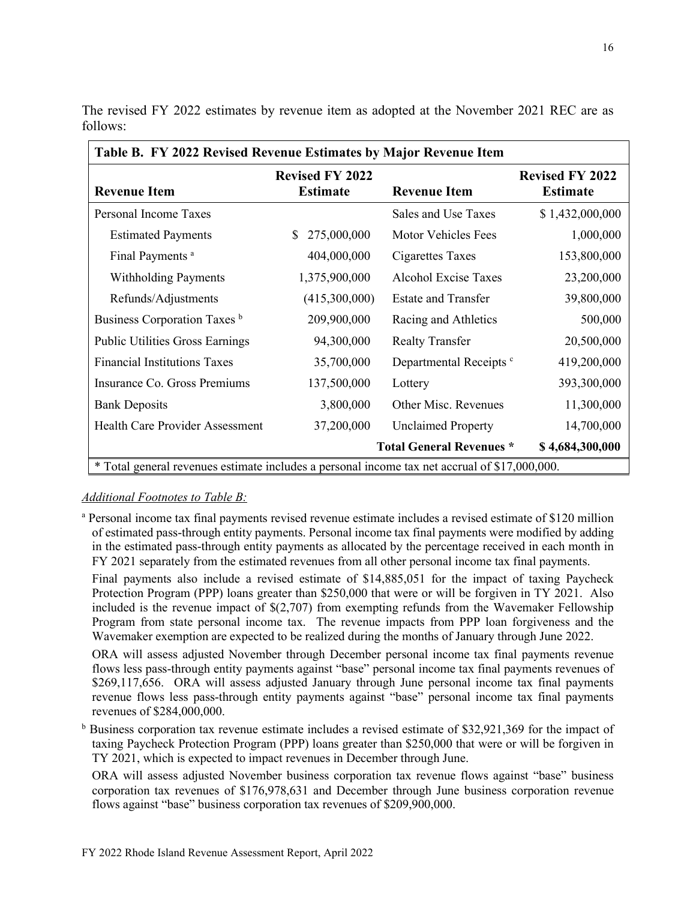| Table B. FY 2022 Revised Revenue Estimates by Major Revenue Item                              |                                           |                                    |                                           |  |  |  |  |
|-----------------------------------------------------------------------------------------------|-------------------------------------------|------------------------------------|-------------------------------------------|--|--|--|--|
| <b>Revenue Item</b>                                                                           | <b>Revised FY 2022</b><br><b>Estimate</b> | <b>Revenue Item</b>                | <b>Revised FY 2022</b><br><b>Estimate</b> |  |  |  |  |
| Personal Income Taxes                                                                         |                                           | Sales and Use Taxes                | \$1,432,000,000                           |  |  |  |  |
| <b>Estimated Payments</b>                                                                     | 275,000,000<br>S.                         | Motor Vehicles Fees                | 1,000,000                                 |  |  |  |  |
| Final Payments <sup>a</sup>                                                                   | 404,000,000                               | Cigarettes Taxes                   | 153,800,000                               |  |  |  |  |
| <b>Withholding Payments</b>                                                                   | 1,375,900,000                             | Alcohol Excise Taxes               | 23,200,000                                |  |  |  |  |
| Refunds/Adjustments                                                                           | (415,300,000)                             | <b>Estate and Transfer</b>         | 39,800,000                                |  |  |  |  |
| Business Corporation Taxes b                                                                  | 209,900,000                               | Racing and Athletics               | 500,000                                   |  |  |  |  |
| <b>Public Utilities Gross Earnings</b>                                                        | 94,300,000                                | <b>Realty Transfer</b>             | 20,500,000                                |  |  |  |  |
| <b>Financial Institutions Taxes</b>                                                           | 35,700,000                                | Departmental Receipts <sup>c</sup> | 419,200,000                               |  |  |  |  |
| Insurance Co. Gross Premiums                                                                  | 137,500,000                               | Lottery                            | 393,300,000                               |  |  |  |  |
| <b>Bank Deposits</b>                                                                          | 3,800,000                                 | Other Misc. Revenues               | 11,300,000                                |  |  |  |  |
| <b>Health Care Provider Assessment</b>                                                        | 37,200,000                                | <b>Unclaimed Property</b>          | 14,700,000                                |  |  |  |  |
| \$4,684,300,000<br><b>Total General Revenues *</b>                                            |                                           |                                    |                                           |  |  |  |  |
| * Total general revenues estimate includes a personal income tax net accrual of \$17,000,000. |                                           |                                    |                                           |  |  |  |  |

The revised FY 2022 estimates by revenue item as adopted at the November 2021 REC are as follows:

#### *Additional Footnotes to Table B:*

<sup>a</sup> Personal income tax final payments revised revenue estimate includes a revised estimate of \$120 million of estimated pass-through entity payments. Personal income tax final payments were modified by adding in the estimated pass-through entity payments as allocated by the percentage received in each month in FY 2021 separately from the estimated revenues from all other personal income tax final payments.

Final payments also include a revised estimate of \$14,885,051 for the impact of taxing Paycheck Protection Program (PPP) loans greater than \$250,000 that were or will be forgiven in TY 2021. Also included is the revenue impact of  $\frac{27}{707}$  from exempting refunds from the Wavemaker Fellowship Program from state personal income tax. The revenue impacts from PPP loan forgiveness and the Wavemaker exemption are expected to be realized during the months of January through June 2022.

ORA will assess adjusted November through December personal income tax final payments revenue flows less pass-through entity payments against "base" personal income tax final payments revenues of \$269,117,656. ORA will assess adjusted January through June personal income tax final payments revenue flows less pass-through entity payments against "base" personal income tax final payments revenues of \$284,000,000.

<sup>b</sup> Business corporation tax revenue estimate includes a revised estimate of \$32,921,369 for the impact of taxing Paycheck Protection Program (PPP) loans greater than \$250,000 that were or will be forgiven in TY 2021, which is expected to impact revenues in December through June.

ORA will assess adjusted November business corporation tax revenue flows against "base" business corporation tax revenues of \$176,978,631 and December through June business corporation revenue flows against "base" business corporation tax revenues of \$209,900,000.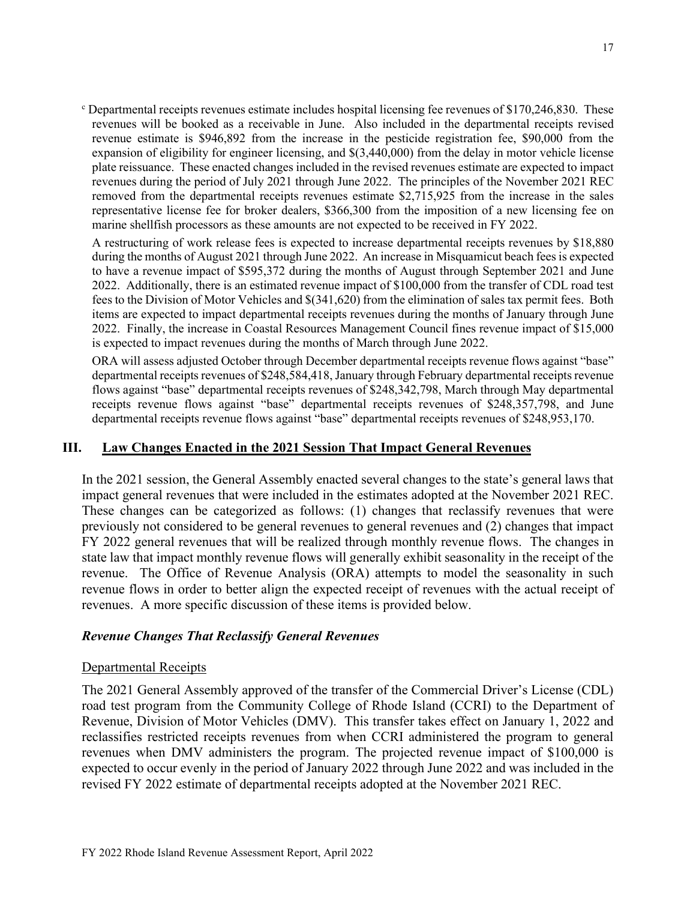<sup>c</sup> Departmental receipts revenues estimate includes hospital licensing fee revenues of \$170,246,830. These revenues will be booked as a receivable in June. Also included in the departmental receipts revised revenue estimate is \$946,892 from the increase in the pesticide registration fee, \$90,000 from the expansion of eligibility for engineer licensing, and \$(3,440,000) from the delay in motor vehicle license plate reissuance. These enacted changes included in the revised revenues estimate are expected to impact revenues during the period of July 2021 through June 2022. The principles of the November 2021 REC removed from the departmental receipts revenues estimate \$2,715,925 from the increase in the sales representative license fee for broker dealers, \$366,300 from the imposition of a new licensing fee on marine shellfish processors as these amounts are not expected to be received in FY 2022.

A restructuring of work release fees is expected to increase departmental receipts revenues by \$18,880 during the months of August 2021 through June 2022. An increase in Misquamicut beach fees is expected to have a revenue impact of \$595,372 during the months of August through September 2021 and June 2022. Additionally, there is an estimated revenue impact of \$100,000 from the transfer of CDL road test fees to the Division of Motor Vehicles and \$(341,620) from the elimination of sales tax permit fees. Both items are expected to impact departmental receipts revenues during the months of January through June 2022. Finally, the increase in Coastal Resources Management Council fines revenue impact of \$15,000 is expected to impact revenues during the months of March through June 2022.

ORA will assess adjusted October through December departmental receipts revenue flows against "base" departmental receipts revenues of \$248,584,418, January through February departmental receipts revenue flows against "base" departmental receipts revenues of \$248,342,798, March through May departmental receipts revenue flows against "base" departmental receipts revenues of \$248,357,798, and June departmental receipts revenue flows against "base" departmental receipts revenues of \$248,953,170.

## **III. Law Changes Enacted in the 2021 Session That Impact General Revenues**

In the 2021 session, the General Assembly enacted several changes to the state's general laws that impact general revenues that were included in the estimates adopted at the November 2021 REC. These changes can be categorized as follows: (1) changes that reclassify revenues that were previously not considered to be general revenues to general revenues and (2) changes that impact FY 2022 general revenues that will be realized through monthly revenue flows. The changes in state law that impact monthly revenue flows will generally exhibit seasonality in the receipt of the revenue. The Office of Revenue Analysis (ORA) attempts to model the seasonality in such revenue flows in order to better align the expected receipt of revenues with the actual receipt of revenues. A more specific discussion of these items is provided below.

#### *Revenue Changes That Reclassify General Revenues*

#### Departmental Receipts

The 2021 General Assembly approved of the transfer of the Commercial Driver's License (CDL) road test program from the Community College of Rhode Island (CCRI) to the Department of Revenue, Division of Motor Vehicles (DMV). This transfer takes effect on January 1, 2022 and reclassifies restricted receipts revenues from when CCRI administered the program to general revenues when DMV administers the program. The projected revenue impact of \$100,000 is expected to occur evenly in the period of January 2022 through June 2022 and was included in the revised FY 2022 estimate of departmental receipts adopted at the November 2021 REC.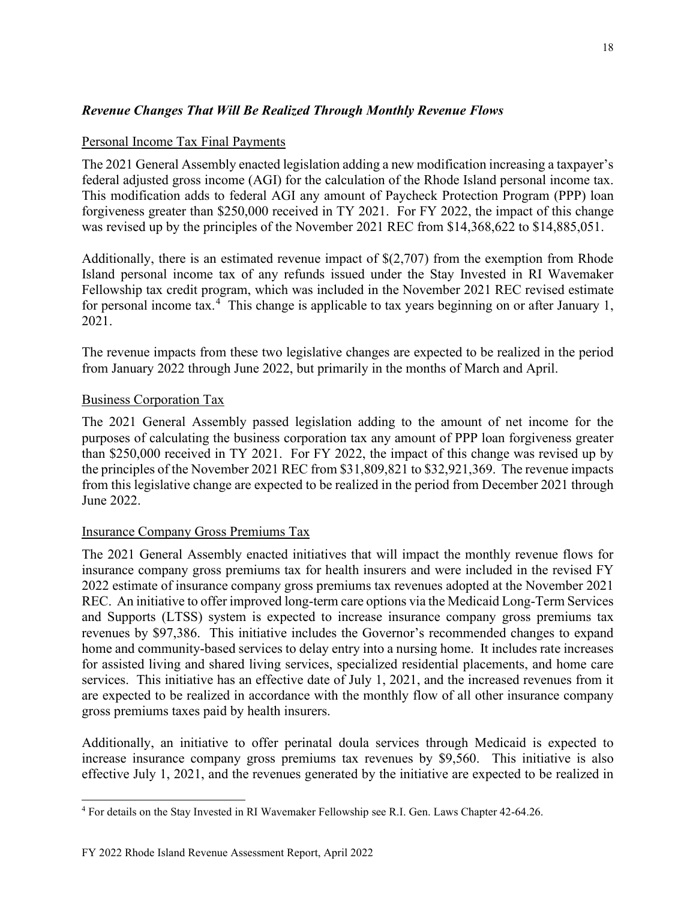## *Revenue Changes That Will Be Realized Through Monthly Revenue Flows*

## Personal Income Tax Final Payments

The 2021 General Assembly enacted legislation adding a new modification increasing a taxpayer's federal adjusted gross income (AGI) for the calculation of the Rhode Island personal income tax. This modification adds to federal AGI any amount of Paycheck Protection Program (PPP) loan forgiveness greater than \$250,000 received in TY 2021. For FY 2022, the impact of this change was revised up by the principles of the November 2021 REC from \$14,368,622 to \$14,885,051.

Additionally, there is an estimated revenue impact of \$(2,707) from the exemption from Rhode Island personal income tax of any refunds issued under the Stay Invested in RI Wavemaker Fellowship tax credit program, which was included in the November 2021 REC revised estimate for personal income tax.<sup>[4](#page-17-0)</sup> This change is applicable to tax years beginning on or after January 1, 2021.

The revenue impacts from these two legislative changes are expected to be realized in the period from January 2022 through June 2022, but primarily in the months of March and April.

## Business Corporation Tax

The 2021 General Assembly passed legislation adding to the amount of net income for the purposes of calculating the business corporation tax any amount of PPP loan forgiveness greater than \$250,000 received in TY 2021. For FY 2022, the impact of this change was revised up by the principles of the November 2021 REC from \$31,809,821 to \$32,921,369. The revenue impacts from this legislative change are expected to be realized in the period from December 2021 through June 2022.

## Insurance Company Gross Premiums Tax

The 2021 General Assembly enacted initiatives that will impact the monthly revenue flows for insurance company gross premiums tax for health insurers and were included in the revised FY 2022 estimate of insurance company gross premiums tax revenues adopted at the November 2021 REC. An initiative to offer improved long-term care options via the Medicaid Long-Term Services and Supports (LTSS) system is expected to increase insurance company gross premiums tax revenues by \$97,386. This initiative includes the Governor's recommended changes to expand home and community-based services to delay entry into a nursing home. It includes rate increases for assisted living and shared living services, specialized residential placements, and home care services. This initiative has an effective date of July 1, 2021, and the increased revenues from it are expected to be realized in accordance with the monthly flow of all other insurance company gross premiums taxes paid by health insurers.

Additionally, an initiative to offer perinatal doula services through Medicaid is expected to increase insurance company gross premiums tax revenues by \$9,560. This initiative is also effective July 1, 2021, and the revenues generated by the initiative are expected to be realized in

<span id="page-17-0"></span><sup>4</sup> For details on the Stay Invested in RI Wavemaker Fellowship see R.I. Gen. Laws Chapter 42-64.26.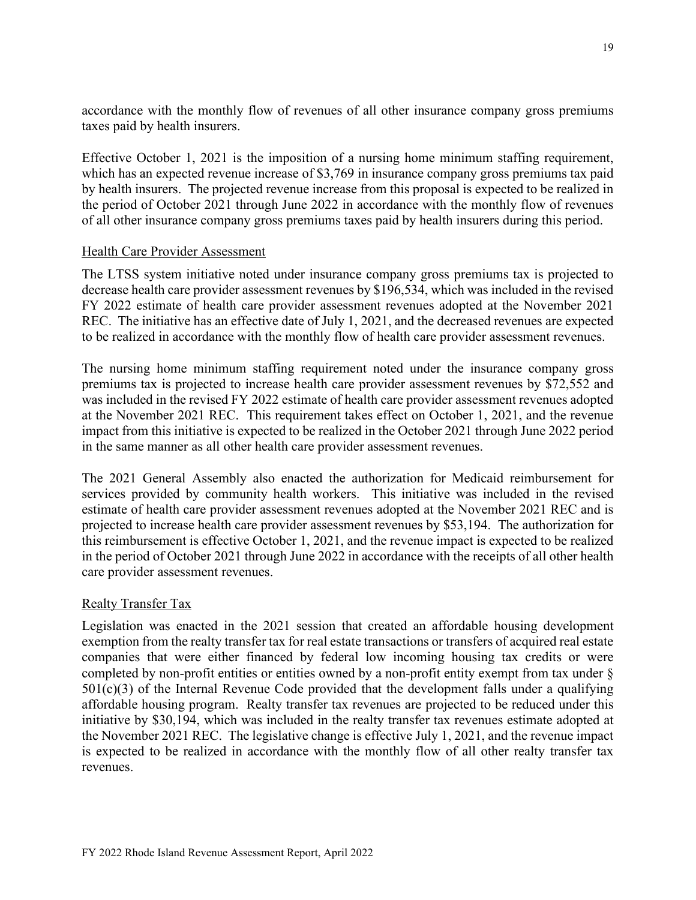accordance with the monthly flow of revenues of all other insurance company gross premiums taxes paid by health insurers.

Effective October 1, 2021 is the imposition of a nursing home minimum staffing requirement, which has an expected revenue increase of \$3,769 in insurance company gross premiums tax paid by health insurers. The projected revenue increase from this proposal is expected to be realized in the period of October 2021 through June 2022 in accordance with the monthly flow of revenues of all other insurance company gross premiums taxes paid by health insurers during this period.

#### Health Care Provider Assessment

The LTSS system initiative noted under insurance company gross premiums tax is projected to decrease health care provider assessment revenues by \$196,534, which was included in the revised FY 2022 estimate of health care provider assessment revenues adopted at the November 2021 REC. The initiative has an effective date of July 1, 2021, and the decreased revenues are expected to be realized in accordance with the monthly flow of health care provider assessment revenues.

The nursing home minimum staffing requirement noted under the insurance company gross premiums tax is projected to increase health care provider assessment revenues by \$72,552 and was included in the revised FY 2022 estimate of health care provider assessment revenues adopted at the November 2021 REC. This requirement takes effect on October 1, 2021, and the revenue impact from this initiative is expected to be realized in the October 2021 through June 2022 period in the same manner as all other health care provider assessment revenues.

The 2021 General Assembly also enacted the authorization for Medicaid reimbursement for services provided by community health workers. This initiative was included in the revised estimate of health care provider assessment revenues adopted at the November 2021 REC and is projected to increase health care provider assessment revenues by \$53,194. The authorization for this reimbursement is effective October 1, 2021, and the revenue impact is expected to be realized in the period of October 2021 through June 2022 in accordance with the receipts of all other health care provider assessment revenues.

## Realty Transfer Tax

Legislation was enacted in the 2021 session that created an affordable housing development exemption from the realty transfer tax for real estate transactions or transfers of acquired real estate companies that were either financed by federal low incoming housing tax credits or were completed by non-profit entities or entities owned by a non-profit entity exempt from tax under §  $501(c)(3)$  of the Internal Revenue Code provided that the development falls under a qualifying affordable housing program. Realty transfer tax revenues are projected to be reduced under this initiative by \$30,194, which was included in the realty transfer tax revenues estimate adopted at the November 2021 REC. The legislative change is effective July 1, 2021, and the revenue impact is expected to be realized in accordance with the monthly flow of all other realty transfer tax revenues.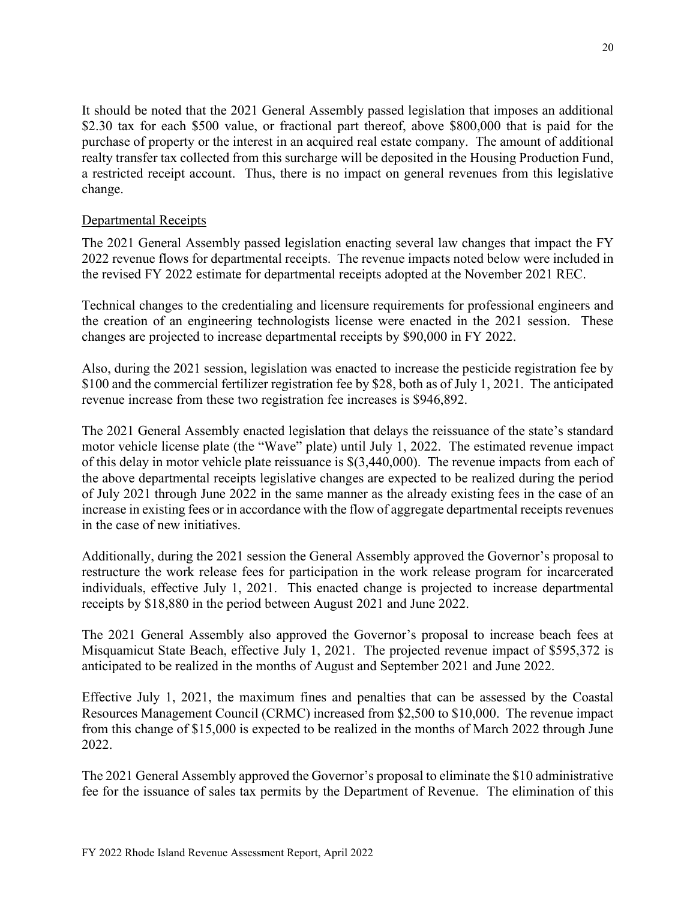It should be noted that the 2021 General Assembly passed legislation that imposes an additional \$2.30 tax for each \$500 value, or fractional part thereof, above \$800,000 that is paid for the purchase of property or the interest in an acquired real estate company. The amount of additional realty transfer tax collected from this surcharge will be deposited in the Housing Production Fund, a restricted receipt account. Thus, there is no impact on general revenues from this legislative change.

## Departmental Receipts

The 2021 General Assembly passed legislation enacting several law changes that impact the FY 2022 revenue flows for departmental receipts. The revenue impacts noted below were included in the revised FY 2022 estimate for departmental receipts adopted at the November 2021 REC.

Technical changes to the credentialing and licensure requirements for professional engineers and the creation of an engineering technologists license were enacted in the 2021 session. These changes are projected to increase departmental receipts by \$90,000 in FY 2022.

Also, during the 2021 session, legislation was enacted to increase the pesticide registration fee by \$100 and the commercial fertilizer registration fee by \$28, both as of July 1, 2021. The anticipated revenue increase from these two registration fee increases is \$946,892.

The 2021 General Assembly enacted legislation that delays the reissuance of the state's standard motor vehicle license plate (the "Wave" plate) until July 1, 2022. The estimated revenue impact of this delay in motor vehicle plate reissuance is \$(3,440,000). The revenue impacts from each of the above departmental receipts legislative changes are expected to be realized during the period of July 2021 through June 2022 in the same manner as the already existing fees in the case of an increase in existing fees or in accordance with the flow of aggregate departmental receipts revenues in the case of new initiatives.

Additionally, during the 2021 session the General Assembly approved the Governor's proposal to restructure the work release fees for participation in the work release program for incarcerated individuals, effective July 1, 2021. This enacted change is projected to increase departmental receipts by \$18,880 in the period between August 2021 and June 2022.

The 2021 General Assembly also approved the Governor's proposal to increase beach fees at Misquamicut State Beach, effective July 1, 2021. The projected revenue impact of \$595,372 is anticipated to be realized in the months of August and September 2021 and June 2022.

Effective July 1, 2021, the maximum fines and penalties that can be assessed by the Coastal Resources Management Council (CRMC) increased from \$2,500 to \$10,000. The revenue impact from this change of \$15,000 is expected to be realized in the months of March 2022 through June 2022.

The 2021 General Assembly approved the Governor's proposal to eliminate the \$10 administrative fee for the issuance of sales tax permits by the Department of Revenue. The elimination of this